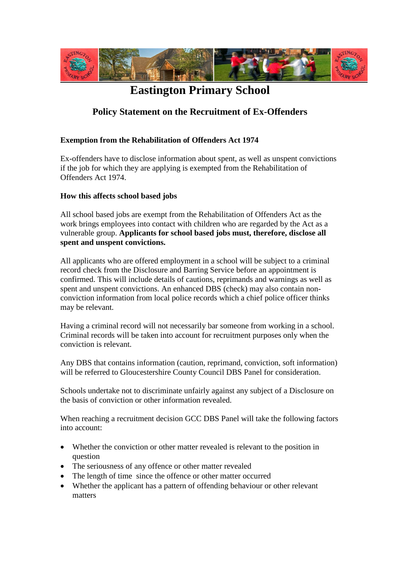

## **Eastington Primary School**

## **Policy Statement on the Recruitment of Ex-Offenders**

## **Exemption from the Rehabilitation of Offenders Act 1974**

Ex-offenders have to disclose information about spent, as well as unspent convictions if the job for which they are applying is exempted from the Rehabilitation of Offenders Act 1974.

## **How this affects school based jobs**

All school based jobs are exempt from the Rehabilitation of Offenders Act as the work brings employees into contact with children who are regarded by the Act as a vulnerable group. **Applicants for school based jobs must, therefore, disclose all spent and unspent convictions.** 

All applicants who are offered employment in a school will be subject to a criminal record check from the Disclosure and Barring Service before an appointment is confirmed. This will include details of cautions, reprimands and warnings as well as spent and unspent convictions. An enhanced DBS (check) may also contain nonconviction information from local police records which a chief police officer thinks may be relevant.

Having a criminal record will not necessarily bar someone from working in a school. Criminal records will be taken into account for recruitment purposes only when the conviction is relevant.

Any DBS that contains information (caution, reprimand, conviction, soft information) will be referred to Gloucestershire County Council DBS Panel for consideration.

Schools undertake not to discriminate unfairly against any subject of a Disclosure on the basis of conviction or other information revealed.

When reaching a recruitment decision GCC DBS Panel will take the following factors into account:

- Whether the conviction or other matter revealed is relevant to the position in question
- The seriousness of any offence or other matter revealed
- The length of time since the offence or other matter occurred
- Whether the applicant has a pattern of offending behaviour or other relevant matters